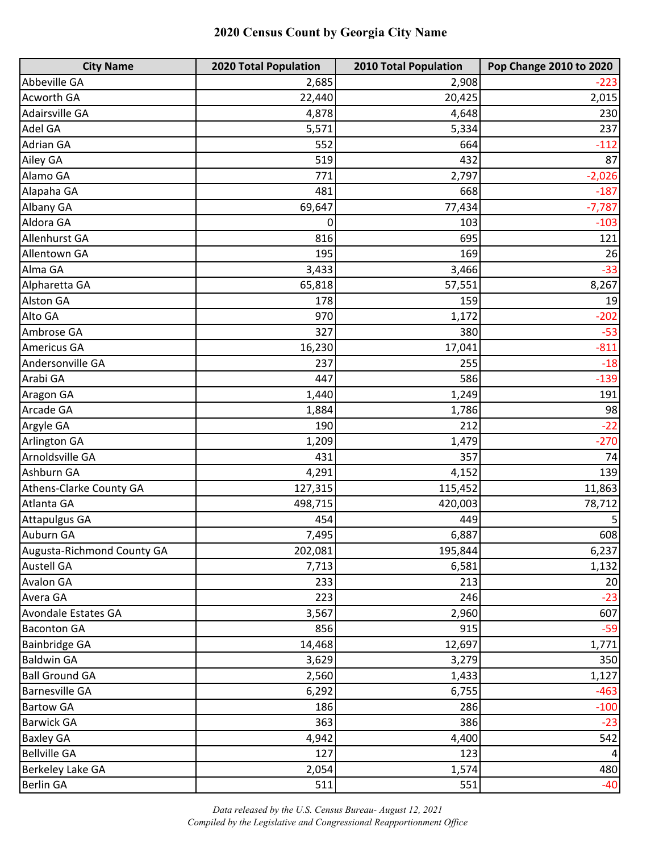| <b>City Name</b>           | 2020 Total Population | <b>2010 Total Population</b> | Pop Change 2010 to 2020 |
|----------------------------|-----------------------|------------------------------|-------------------------|
| Abbeville GA               | 2,685                 | 2,908                        | $-223$                  |
| Acworth GA                 | 22,440                | 20,425                       | 2,015                   |
| Adairsville GA             | 4,878                 | 4,648                        | 230                     |
| Adel GA                    | 5,571                 | 5,334                        | 237                     |
| Adrian GA                  | 552                   | 664                          | $-112$                  |
| Ailey GA                   | 519                   | 432                          | 87                      |
| Alamo GA                   | 771                   | 2,797                        | $-2,026$                |
| Alapaha GA                 | 481                   | 668                          | $-187$                  |
| Albany GA                  | 69,647                | 77,434                       | $-7,787$                |
| Aldora GA                  | 0                     | 103                          | $-103$                  |
| Allenhurst GA              | 816                   | 695                          | 121                     |
| Allentown GA               | 195                   | 169                          | 26                      |
| Alma GA                    | 3,433                 | 3,466                        | $-33$                   |
| Alpharetta GA              | 65,818                | 57,551                       | 8,267                   |
| <b>Alston GA</b>           | 178                   | 159                          | 19                      |
| Alto GA                    | 970                   | 1,172                        | $-202$                  |
| Ambrose GA                 | 327                   | 380                          | $-53$                   |
| Americus GA                | 16,230                | 17,041                       | $-811$                  |
| Andersonville GA           | 237                   | 255                          | $-18$                   |
| Arabi GA                   | 447                   | 586                          | $-139$                  |
| Aragon GA                  | 1,440                 | 1,249                        | 191                     |
| Arcade GA                  | 1,884                 | 1,786                        | 98                      |
| Argyle GA                  | 190                   | 212                          | $-22$                   |
| Arlington GA               | 1,209                 | 1,479                        | $-270$                  |
| Arnoldsville GA            | 431                   | 357                          | 74                      |
| Ashburn GA                 | 4,291                 | 4,152                        | 139                     |
| Athens-Clarke County GA    | 127,315               | 115,452                      | 11,863                  |
| Atlanta GA                 | 498,715               | 420,003                      | 78,712                  |
| <b>Attapulgus GA</b>       | 454                   | 449                          | 5                       |
| Auburn GA                  | 7,495                 | 6,887                        | 608                     |
| Augusta-Richmond County GA | 202,081               | 195,844                      | 6,237                   |
| <b>Austell GA</b>          | 7,713                 | 6,581                        | 1,132                   |
| <b>Avalon GA</b>           | 233                   | 213                          | 20                      |
| Avera GA                   | 223                   | 246                          | $-23$                   |
| Avondale Estates GA        | 3,567                 | 2,960                        | 607                     |
| <b>Baconton GA</b>         | 856                   | 915                          | $-59$                   |
| <b>Bainbridge GA</b>       | 14,468                | 12,697                       | 1,771                   |
| <b>Baldwin GA</b>          | 3,629                 | 3,279                        | 350                     |
| <b>Ball Ground GA</b>      | 2,560                 | 1,433                        | 1,127                   |
| <b>Barnesville GA</b>      | 6,292                 | 6,755                        | $-463$                  |
| <b>Bartow GA</b>           | 186                   | 286                          | $-100$                  |
| <b>Barwick GA</b>          | 363                   | 386                          | $-23$                   |
| <b>Baxley GA</b>           | 4,942                 | 4,400                        | 542                     |
| <b>Bellville GA</b>        | 127                   | 123                          | $\vert$                 |
| Berkeley Lake GA           | 2,054                 | 1,574                        | 480                     |
| <b>Berlin GA</b>           | 511                   | 551                          | $-40$                   |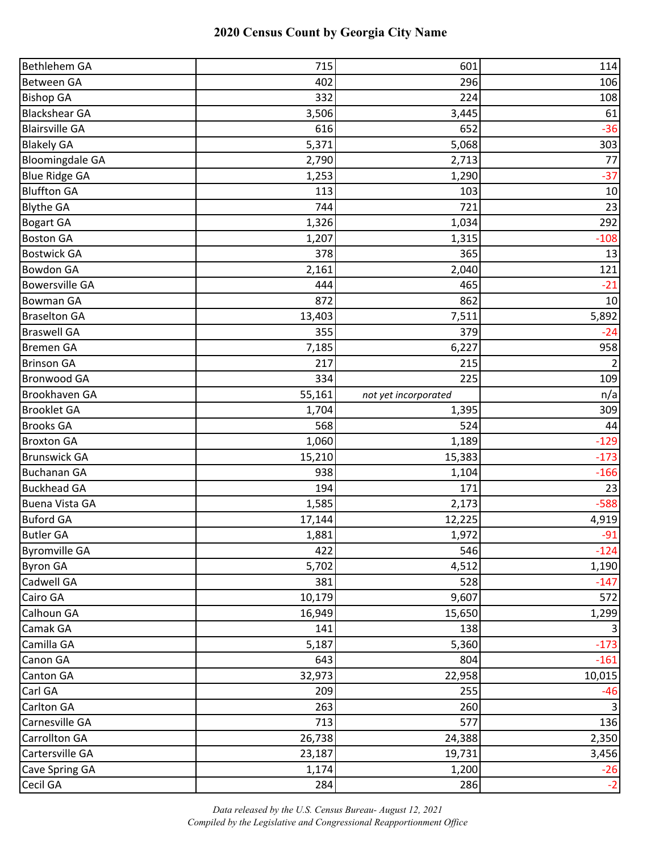| Bethlehem GA           | 715    | 601                  | 114    |
|------------------------|--------|----------------------|--------|
| <b>Between GA</b>      | 402    | 296                  | 106    |
| <b>Bishop GA</b>       | 332    | 224                  | 108    |
| <b>Blackshear GA</b>   | 3,506  | 3,445                | 61     |
| <b>Blairsville GA</b>  | 616    | 652                  | $-36$  |
| <b>Blakely GA</b>      | 5,371  | 5,068                | 303    |
| <b>Bloomingdale GA</b> | 2,790  | 2,713                | 77     |
| <b>Blue Ridge GA</b>   | 1,253  | 1,290                | $-37$  |
| <b>Bluffton GA</b>     | 113    | 103                  | 10     |
| <b>Blythe GA</b>       | 744    | 721                  | 23     |
| <b>Bogart GA</b>       | 1,326  | 1,034                | 292    |
| <b>Boston GA</b>       | 1,207  | 1,315                | $-108$ |
| <b>Bostwick GA</b>     | 378    | 365                  | 13     |
| <b>Bowdon GA</b>       | 2,161  | 2,040                | 121    |
| <b>Bowersville GA</b>  | 444    | 465                  | $-21$  |
| <b>Bowman GA</b>       | 872    | 862                  | 10     |
| <b>Braselton GA</b>    | 13,403 | 7,511                | 5,892  |
| <b>Braswell GA</b>     | 355    | 379                  | $-24$  |
| <b>Bremen GA</b>       | 7,185  | 6,227                | 958    |
| <b>Brinson GA</b>      | 217    | 215                  | 2      |
| <b>Bronwood GA</b>     | 334    | 225                  | 109    |
| Brookhaven GA          | 55,161 | not yet incorporated | n/a    |
| <b>Brooklet GA</b>     | 1,704  | 1,395                | 309    |
| <b>Brooks GA</b>       | 568    | 524                  | 44     |
| <b>Broxton GA</b>      | 1,060  | 1,189                | $-129$ |
| <b>Brunswick GA</b>    | 15,210 | 15,383               | $-173$ |
| <b>Buchanan GA</b>     | 938    | 1,104                | $-166$ |
| <b>Buckhead GA</b>     | 194    | 171                  | 23     |
| <b>Buena Vista GA</b>  | 1,585  | 2,173                | $-588$ |
| <b>Buford GA</b>       | 17,144 | 12,225               | 4,919  |
| <b>Butler GA</b>       | 1,881  | 1,972                | $-91$  |
| <b>Byromville GA</b>   | 422    | 546                  | $-124$ |
| <b>Byron GA</b>        | 5,702  | 4,512                | 1,190  |
| Cadwell GA             | 381    | 528                  | $-147$ |
| Cairo GA               | 10,179 | 9,607                | 572    |
| Calhoun GA             | 16,949 | 15,650               | 1,299  |
| Camak GA               | 141    | 138                  | 3      |
| Camilla GA             | 5,187  | 5,360                | $-173$ |
| Canon GA               | 643    | 804                  | $-161$ |
| Canton GA              | 32,973 | 22,958               | 10,015 |
| Carl GA                | 209    | 255                  | $-46$  |
| Carlton GA             | 263    | 260                  | 3      |
| Carnesville GA         | 713    | 577                  | 136    |
| Carrollton GA          | 26,738 | 24,388               | 2,350  |
| Cartersville GA        | 23,187 | 19,731               | 3,456  |
| Cave Spring GA         | 1,174  | 1,200                | $-26$  |
| Cecil GA               | 284    | 286                  | $-2$   |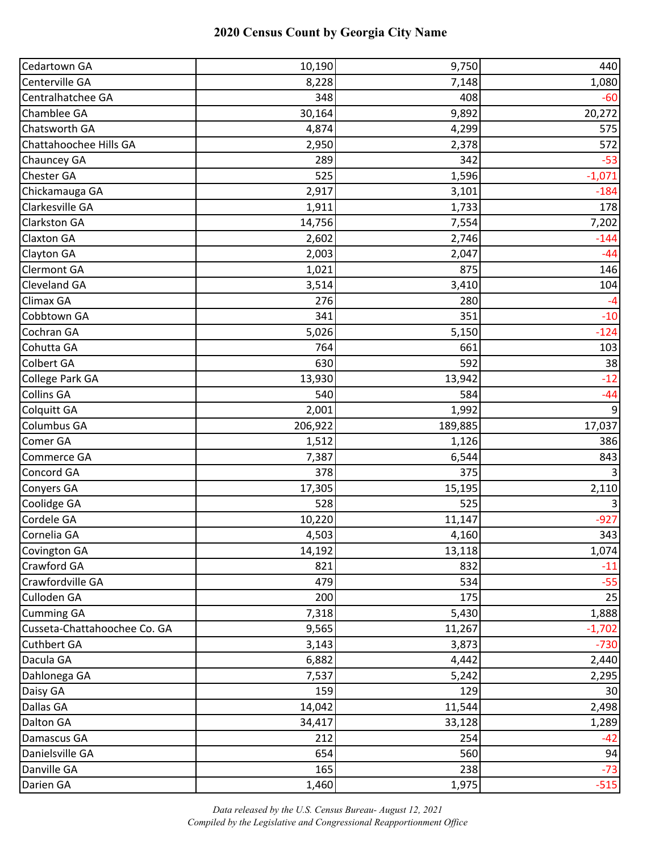| Cedartown GA                 | 10,190  | 9,750   | 440              |
|------------------------------|---------|---------|------------------|
| Centerville GA               | 8,228   | 7,148   | 1,080            |
| Centralhatchee GA            | 348     | 408     | $-60$            |
| Chamblee GA                  | 30,164  | 9,892   | 20,272           |
| Chatsworth GA                | 4,874   | 4,299   | 575              |
| Chattahoochee Hills GA       | 2,950   | 2,378   | 572              |
| Chauncey GA                  | 289     | 342     | $-53$            |
| Chester GA                   | 525     | 1,596   | $-1,071$         |
| Chickamauga GA               | 2,917   | 3,101   | $-184$           |
| Clarkesville GA              | 1,911   | 1,733   | 178              |
| <b>Clarkston GA</b>          | 14,756  | 7,554   | 7,202            |
| <b>Claxton GA</b>            | 2,602   | 2,746   | $-144$           |
| Clayton GA                   | 2,003   | 2,047   | $-44$            |
| <b>Clermont GA</b>           | 1,021   | 875     | 146              |
| Cleveland GA                 | 3,514   | 3,410   | 104              |
| Climax GA                    | 276     | 280     | $-4$             |
| Cobbtown GA                  | 341     | 351     | $-10$            |
| Cochran GA                   | 5,026   | 5,150   | $-124$           |
| Cohutta GA                   | 764     | 661     | 103              |
| Colbert GA                   | 630     | 592     | 38               |
| College Park GA              | 13,930  | 13,942  | $-12$            |
| <b>Collins GA</b>            | 540     | 584     | $-44$            |
| Colquitt GA                  | 2,001   | 1,992   | $\boldsymbol{9}$ |
| Columbus GA                  | 206,922 | 189,885 | 17,037           |
| Comer GA                     | 1,512   | 1,126   | 386              |
| Commerce GA                  | 7,387   | 6,544   | 843              |
| Concord GA                   | 378     | 375     |                  |
| <b>Conyers GA</b>            | 17,305  | 15,195  | 2,110            |
| Coolidge GA                  | 528     | 525     | 3                |
| Cordele GA                   | 10,220  | 11,147  | $-927$           |
| Cornelia GA                  | 4,503   | 4,160   | 343              |
| <b>Covington GA</b>          | 14,192  | 13,118  | 1,074            |
| Crawford GA                  | 821     | 832     | $-11$            |
| Crawfordville GA             | 479     | 534     | $-55$            |
| Culloden GA                  | 200     | 175     | 25               |
| <b>Cumming GA</b>            | 7,318   | 5,430   | 1,888            |
| Cusseta-Chattahoochee Co. GA | 9,565   | 11,267  | $-1,702$         |
| <b>Cuthbert GA</b>           | 3,143   | 3,873   | $-730$           |
| Dacula GA                    | 6,882   | 4,442   | 2,440            |
| Dahlonega GA                 | 7,537   | 5,242   | 2,295            |
| Daisy GA                     | 159     | 129     | 30               |
| Dallas GA                    | 14,042  | 11,544  | 2,498            |
| Dalton GA                    | 34,417  | 33,128  | 1,289            |
| Damascus GA                  | 212     | 254     | $-42$            |
| Danielsville GA              | 654     | 560     | 94               |
| Danville GA                  | 165     | 238     | $-73$            |
| Darien GA                    | 1,460   | 1,975   | $-515$           |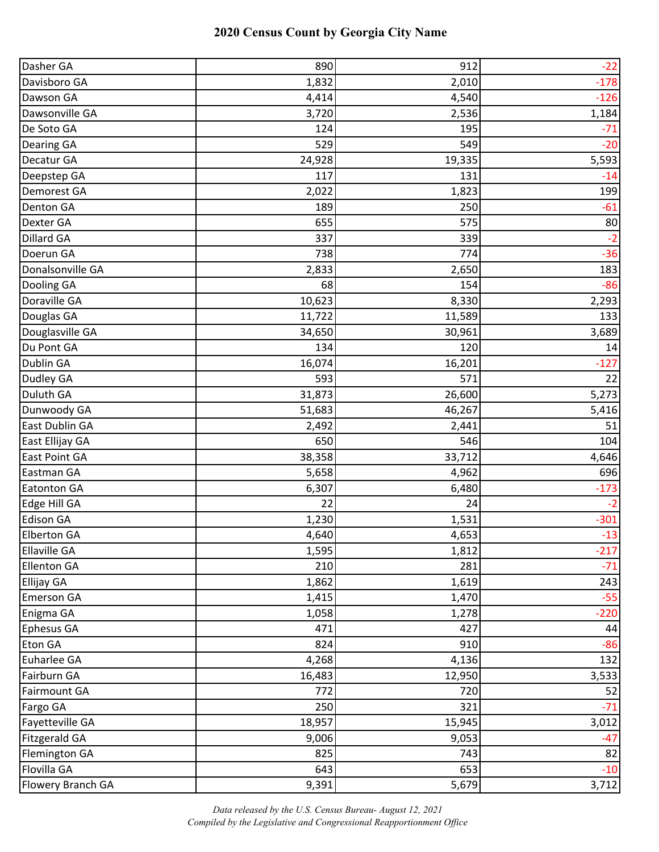| Dasher GA            | 890    | 912    | $-22$  |
|----------------------|--------|--------|--------|
| Davisboro GA         | 1,832  | 2,010  | $-178$ |
| Dawson GA            | 4,414  | 4,540  | $-126$ |
| Dawsonville GA       | 3,720  | 2,536  | 1,184  |
| De Soto GA           | 124    | 195    | $-71$  |
| <b>Dearing GA</b>    | 529    | 549    | $-20$  |
| Decatur GA           | 24,928 | 19,335 | 5,593  |
| Deepstep GA          | 117    | 131    | $-14$  |
| Demorest GA          | 2,022  | 1,823  | 199    |
| Denton GA            | 189    | 250    | $-61$  |
| Dexter GA            | 655    | 575    | 80     |
| <b>Dillard GA</b>    | 337    | 339    | $-2$   |
| Doerun GA            | 738    | 774    | $-36$  |
| Donalsonville GA     | 2,833  | 2,650  | 183    |
| Dooling GA           | 68     | 154    | $-86$  |
| Doraville GA         | 10,623 | 8,330  | 2,293  |
| Douglas GA           | 11,722 | 11,589 | 133    |
| Douglasville GA      | 34,650 | 30,961 | 3,689  |
| Du Pont GA           | 134    | 120    | 14     |
| Dublin GA            | 16,074 | 16,201 | $-127$ |
| Dudley GA            | 593    | 571    | 22     |
| Duluth GA            | 31,873 | 26,600 | 5,273  |
| Dunwoody GA          | 51,683 | 46,267 | 5,416  |
| East Dublin GA       | 2,492  | 2,441  | 51     |
| East Ellijay GA      | 650    | 546    | 104    |
| <b>East Point GA</b> | 38,358 | 33,712 | 4,646  |
| Eastman GA           | 5,658  | 4,962  | 696    |
| <b>Eatonton GA</b>   | 6,307  | 6,480  | $-173$ |
| Edge Hill GA         | 22     | 24     | $-2$   |
| <b>Edison GA</b>     | 1,230  | 1,531  | $-301$ |
| <b>Elberton GA</b>   | 4,640  | 4,653  | $-13$  |
| <b>Ellaville GA</b>  | 1,595  | 1,812  | $-217$ |
| <b>Ellenton GA</b>   | 210    | 281    | $-71$  |
| <b>Ellijay GA</b>    | 1,862  | 1,619  | 243    |
| <b>Emerson GA</b>    | 1,415  | 1,470  | $-55$  |
| Enigma GA            | 1,058  | 1,278  | $-220$ |
| <b>Ephesus GA</b>    | 471    | 427    | 44     |
| Eton GA              | 824    | 910    | $-86$  |
| Euharlee GA          | 4,268  | 4,136  | 132    |
| Fairburn GA          | 16,483 | 12,950 | 3,533  |
| <b>Fairmount GA</b>  | 772    | 720    | 52     |
| Fargo GA             | 250    | 321    | $-71$  |
| Fayetteville GA      | 18,957 | 15,945 | 3,012  |
| <b>Fitzgerald GA</b> | 9,006  | 9,053  | $-47$  |
| <b>Flemington GA</b> | 825    | 743    | 82     |
| Flovilla GA          | 643    | 653    | $-10$  |
| Flowery Branch GA    | 9,391  | 5,679  | 3,712  |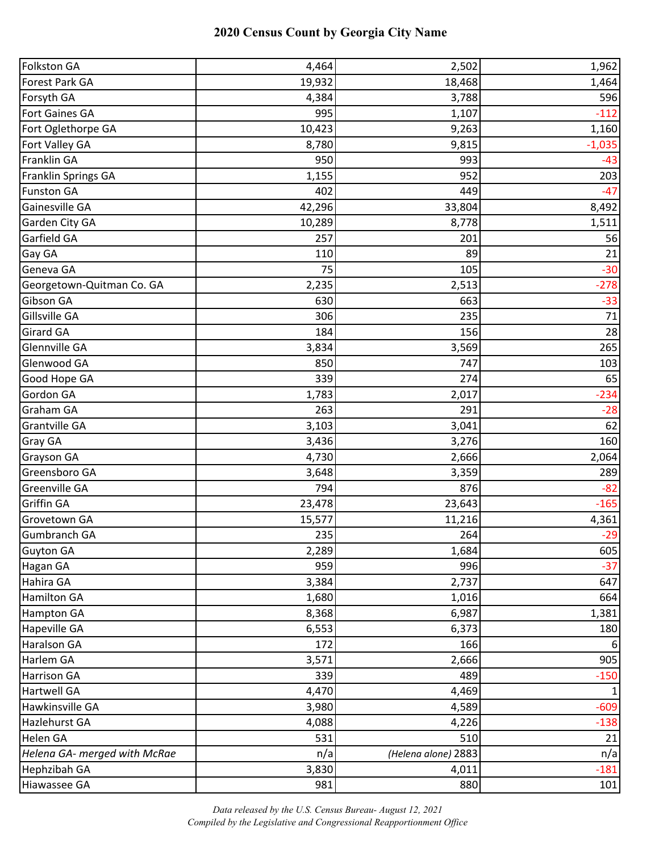| <b>Folkston GA</b>           | 4,464  | 2,502               | 1,962    |
|------------------------------|--------|---------------------|----------|
| Forest Park GA               | 19,932 | 18,468              | 1,464    |
| Forsyth GA                   | 4,384  | 3,788               | 596      |
| <b>Fort Gaines GA</b>        | 995    | 1,107               | $-112$   |
| Fort Oglethorpe GA           | 10,423 | 9,263               | 1,160    |
| Fort Valley GA               | 8,780  | 9,815               | $-1,035$ |
| Franklin GA                  | 950    | 993                 | $-43$    |
| Franklin Springs GA          | 1,155  | 952                 | 203      |
| <b>Funston GA</b>            | 402    | 449                 | $-47$    |
| Gainesville GA               | 42,296 | 33,804              | 8,492    |
| Garden City GA               | 10,289 | 8,778               | 1,511    |
| Garfield GA                  | 257    | 201                 | 56       |
| Gay GA                       | 110    | 89                  | 21       |
| Geneva GA                    | 75     | 105                 | $-30$    |
| Georgetown-Quitman Co. GA    | 2,235  | 2,513               | $-278$   |
| Gibson GA                    | 630    | 663                 | $-33$    |
| Gillsville GA                | 306    | 235                 | 71       |
| <b>Girard GA</b>             | 184    | 156                 | 28       |
| Glennville GA                | 3,834  | 3,569               | 265      |
| Glenwood GA                  | 850    | 747                 | 103      |
| Good Hope GA                 | 339    | 274                 | 65       |
| Gordon GA                    | 1,783  | 2,017               | $-234$   |
| Graham GA                    | 263    | 291                 | $-28$    |
| <b>Grantville GA</b>         | 3,103  | 3,041               | 62       |
| Gray GA                      | 3,436  | 3,276               | 160      |
| Grayson GA                   | 4,730  | 2,666               | 2,064    |
| Greensboro GA                | 3,648  | 3,359               | 289      |
| Greenville GA                | 794    | 876                 | $-82$    |
| Griffin GA                   | 23,478 | 23,643              | $-165$   |
| Grovetown GA                 | 15,577 | 11,216              | 4,361    |
| <b>Gumbranch GA</b>          | 235    | 264                 | $-29$    |
| Guyton GA                    | 2,289  | 1,684               | 605      |
| Hagan GA                     | 959    | 996                 | $-37$    |
| Hahira GA                    | 3,384  | 2,737               | 647      |
| Hamilton GA                  | 1,680  | 1,016               | 664      |
| <b>Hampton GA</b>            | 8,368  | 6,987               | 1,381    |
| Hapeville GA                 | 6,553  | 6,373               | 180      |
| Haralson GA                  | 172    | 166                 | 6        |
| Harlem GA                    | 3,571  | 2,666               | 905      |
| <b>Harrison GA</b>           | 339    | 489                 | $-150$   |
| <b>Hartwell GA</b>           | 4,470  | 4,469               |          |
| Hawkinsville GA              | 3,980  | 4,589               | $-609$   |
| Hazlehurst GA                | 4,088  | 4,226               | $-138$   |
| Helen GA                     | 531    | 510                 | 21       |
| Helena GA- merged with McRae | n/a    | (Helena alone) 2883 | n/a      |
| Hephzibah GA                 | 3,830  | 4,011               | $-181$   |
| Hiawassee GA                 | 981    | 880                 | 101      |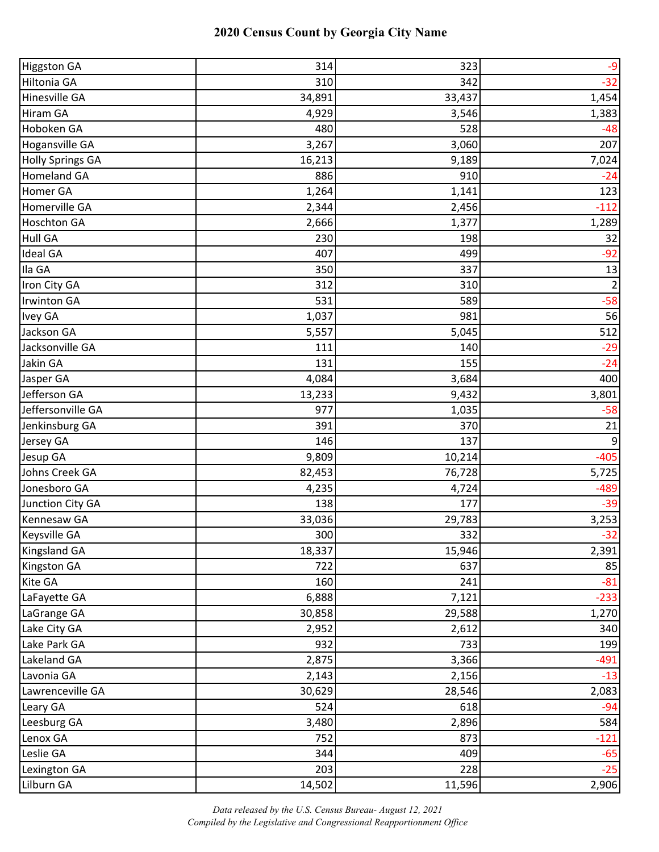| <b>Higgston GA</b>      | 314    | 323    | $-9$           |
|-------------------------|--------|--------|----------------|
| Hiltonia GA             | 310    | 342    | $-32$          |
| Hinesville GA           | 34,891 | 33,437 | 1,454          |
| Hiram GA                | 4,929  | 3,546  | 1,383          |
| Hoboken GA              | 480    | 528    | $-48$          |
| <b>Hogansville GA</b>   | 3,267  | 3,060  | 207            |
| <b>Holly Springs GA</b> | 16,213 | 9,189  | 7,024          |
| <b>Homeland GA</b>      | 886    | 910    | $-24$          |
| Homer GA                | 1,264  | 1,141  | 123            |
| Homerville GA           | 2,344  | 2,456  | $-112$         |
| <b>Hoschton GA</b>      | 2,666  | 1,377  | 1,289          |
| <b>Hull GA</b>          | 230    | 198    | 32             |
| <b>Ideal GA</b>         | 407    | 499    | $-92$          |
| Ila GA                  | 350    | 337    | 13             |
| Iron City GA            | 312    | 310    | $\overline{2}$ |
| <b>Irwinton GA</b>      | 531    | 589    | $-58$          |
| Ivey GA                 | 1,037  | 981    | 56             |
| Jackson GA              | 5,557  | 5,045  | 512            |
| Jacksonville GA         | 111    | 140    | $-29$          |
| Jakin GA                | 131    | 155    | $-24$          |
| Jasper GA               | 4,084  | 3,684  | 400            |
| Jefferson GA            | 13,233 | 9,432  | 3,801          |
| Jeffersonville GA       | 977    | 1,035  | $-58$          |
| Jenkinsburg GA          | 391    | 370    | 21             |
| Jersey GA               | 146    | 137    | 9              |
| Jesup GA                | 9,809  | 10,214 | $-405$         |
| Johns Creek GA          | 82,453 | 76,728 | 5,725          |
| Jonesboro GA            | 4,235  | 4,724  | $-489$         |
| Junction City GA        | 138    | 177    | $-39$          |
| <b>Kennesaw GA</b>      | 33,036 | 29,783 | 3,253          |
| <b>Keysville GA</b>     | 300    | 332    | $-32$          |
| <b>Kingsland GA</b>     | 18,337 | 15,946 | 2,391          |
| <b>Kingston GA</b>      | 722    | 637    | 85             |
| Kite GA                 | 160    | 241    | $-81$          |
| LaFayette GA            | 6,888  | 7,121  | $-233$         |
| LaGrange GA             | 30,858 | 29,588 | 1,270          |
| Lake City GA            | 2,952  | 2,612  | 340            |
| Lake Park GA            | 932    | 733    | 199            |
| Lakeland GA             | 2,875  | 3,366  | $-491$         |
| Lavonia GA              | 2,143  | 2,156  | $-13$          |
| Lawrenceville GA        | 30,629 | 28,546 | 2,083          |
| Leary GA                | 524    | 618    | $-94$          |
| Leesburg GA             | 3,480  | 2,896  | 584            |
| Lenox GA                | 752    | 873    | $-121$         |
| Leslie GA               | 344    | 409    | $-65$          |
| Lexington GA            | 203    | 228    | $-25$          |
| Lilburn GA              | 14,502 | 11,596 | 2,906          |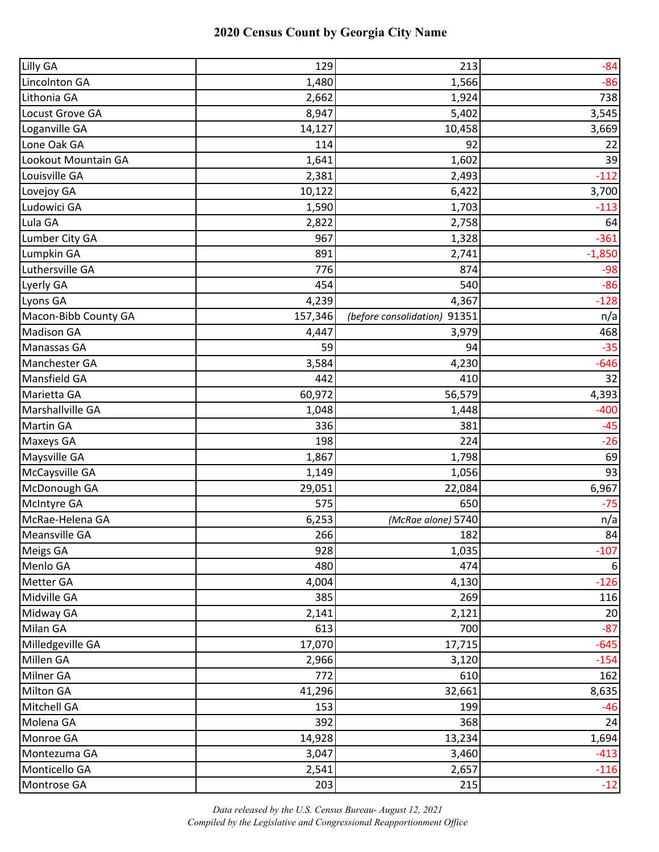| Lilly GA             | 129     | 213                          | $-84$    |
|----------------------|---------|------------------------------|----------|
| Lincolnton GA        | 1,480   | 1,566                        | $-86$    |
| Lithonia GA          | 2,662   | 1,924                        | 738      |
| Locust Grove GA      | 8,947   | 5,402                        | 3,545    |
| Loganville GA        | 14,127  | 10,458                       | 3,669    |
| Lone Oak GA          | 114     | 92                           | 22       |
| Lookout Mountain GA  | 1,641   | 1,602                        | 39       |
| Louisville GA        | 2,381   | 2,493                        | $-112$   |
| Lovejoy GA           | 10,122  | 6,422                        | 3,700    |
| Ludowici GA          | 1,590   | 1,703                        | $-113$   |
| Lula GA              | 2,822   | 2,758                        | 64       |
| Lumber City GA       | 967     | 1,328                        | $-361$   |
| Lumpkin GA           | 891     | 2,741                        | $-1,850$ |
| Luthersville GA      | 776     | 874                          | $-98$    |
| Lyerly GA            | 454     | 540                          | $-86$    |
| Lyons GA             | 4,239   | 4,367                        | $-128$   |
| Macon-Bibb County GA | 157,346 | (before consolidation) 91351 | n/a      |
| <b>Madison GA</b>    | 4,447   | 3,979                        | 468      |
| Manassas GA          | 59      | 94                           | $-35$    |
| Manchester GA        | 3,584   | 4,230                        | $-646$   |
| Mansfield GA         | 442     | 410                          | 32       |
| Marietta GA          | 60,972  | 56,579                       | 4,393    |
| Marshallville GA     | 1,048   | 1,448                        | $-400$   |
| <b>Martin GA</b>     | 336     | 381                          | $-45$    |
| Maxeys GA            | 198     | 224                          | $-26$    |
| Maysville GA         | 1,867   | 1,798                        | 69       |
| McCaysville GA       | 1,149   | 1,056                        | 93       |
| McDonough GA         | 29,051  | 22,084                       | 6,967    |
| McIntyre GA          | 575     | 650                          | $-75$    |
| McRae-Helena GA      | 6,253   | (McRae alone) 5740           | n/a      |
| Meansville GA        | 266     | 182                          | 84       |
| Meigs GA             | 928     | 1,035                        | $-107$   |
| Menlo GA             | 480     | 474                          | 6        |
| Metter GA            | 4,004   | 4,130                        | $-126$   |
| Midville GA          | 385     | 269                          | 116      |
| Midway GA            | 2,141   | 2,121                        | 20       |
| Milan GA             | 613     | 700                          | $-87$    |
| Milledgeville GA     | 17,070  | 17,715                       | $-645$   |
| Millen GA            | 2,966   | 3,120                        | $-154$   |
| Milner GA            | 772     | 610                          | 162      |
| <b>Milton GA</b>     | 41,296  | 32,661                       | 8,635    |
| Mitchell GA          | 153     | 199                          | $-46$    |
| Molena GA            | 392     | 368                          | 24       |
| Monroe GA            | 14,928  | 13,234                       | 1,694    |
| Montezuma GA         | 3,047   | 3,460                        | $-413$   |
| Monticello GA        | 2,541   | 2,657                        | $-116$   |
| Montrose GA          | 203     | 215                          | $-12$    |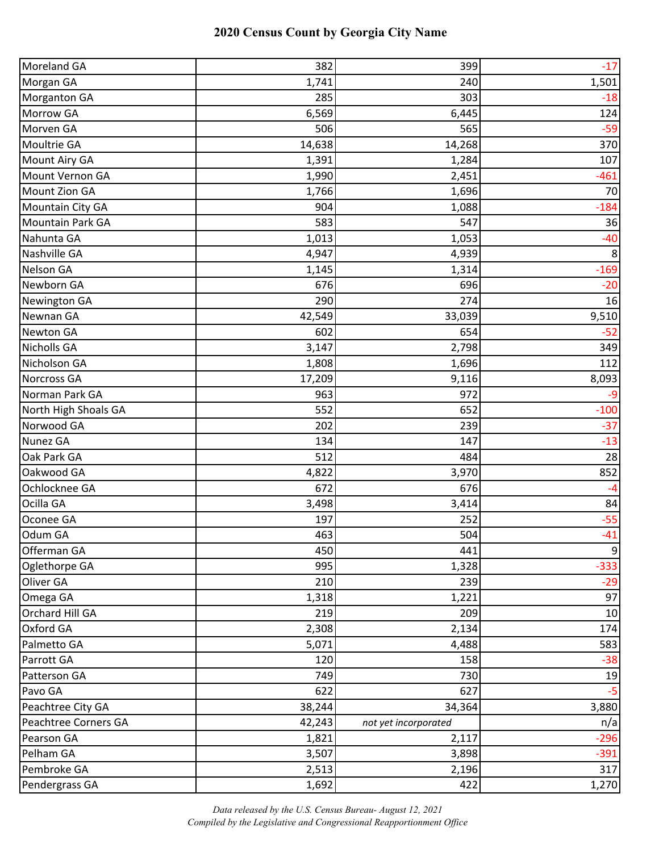| Moreland GA          | 382    | 399                  | $-17$  |
|----------------------|--------|----------------------|--------|
| Morgan GA            | 1,741  | 240                  | 1,501  |
| <b>Morganton GA</b>  | 285    | 303                  | $-18$  |
| Morrow GA            | 6,569  | 6,445                | 124    |
| Morven GA            | 506    | 565                  | $-59$  |
| Moultrie GA          | 14,638 | 14,268               | 370    |
| Mount Airy GA        | 1,391  | 1,284                | 107    |
| Mount Vernon GA      | 1,990  | 2,451                | $-461$ |
| Mount Zion GA        | 1,766  | 1,696                | 70     |
| Mountain City GA     | 904    | 1,088                | $-184$ |
| Mountain Park GA     | 583    | 547                  | 36     |
| Nahunta GA           | 1,013  | 1,053                | $-40$  |
| Nashville GA         | 4,947  | 4,939                | 8      |
| Nelson GA            | 1,145  | 1,314                | $-169$ |
| Newborn GA           | 676    | 696                  | $-20$  |
| Newington GA         | 290    | 274                  | 16     |
| Newnan GA            | 42,549 | 33,039               | 9,510  |
| <b>Newton GA</b>     | 602    | 654                  | $-52$  |
| <b>Nicholls GA</b>   | 3,147  | 2,798                | 349    |
| Nicholson GA         | 1,808  | 1,696                | 112    |
| Norcross GA          | 17,209 | 9,116                | 8,093  |
| Norman Park GA       | 963    | 972                  | -9     |
| North High Shoals GA | 552    | 652                  | $-100$ |
| Norwood GA           | 202    | 239                  | $-37$  |
| Nunez GA             | 134    | 147                  | $-13$  |
| Oak Park GA          | 512    | 484                  | 28     |
| Oakwood GA           | 4,822  | 3,970                | 852    |
| Ochlocknee GA        | 672    | 676                  | $-4$   |
| Ocilla GA            | 3,498  | 3,414                | 84     |
| Oconee GA            | 197    | 252                  | $-55$  |
| Odum GA              | 463    | 504                  | $-41$  |
| Offerman GA          | 450    | 441                  | 9      |
| Oglethorpe GA        | 995    | 1,328                | $-333$ |
| Oliver GA            | 210    | 239                  | $-29$  |
| Omega GA             | 1,318  | 1,221                | 97     |
| Orchard Hill GA      | 219    | 209                  | 10     |
| Oxford GA            | 2,308  | 2,134                | 174    |
| Palmetto GA          | 5,071  | 4,488                | 583    |
| Parrott GA           | 120    | 158                  | $-38$  |
| Patterson GA         | 749    | 730                  | 19     |
| Pavo GA              | 622    | 627                  | $-5$   |
| Peachtree City GA    | 38,244 | 34,364               | 3,880  |
| Peachtree Corners GA | 42,243 | not yet incorporated | n/a    |
| Pearson GA           | 1,821  | 2,117                | $-296$ |
| Pelham GA            | 3,507  | 3,898                | $-391$ |
| Pembroke GA          | 2,513  | 2,196                | 317    |
| Pendergrass GA       | 1,692  | 422                  | 1,270  |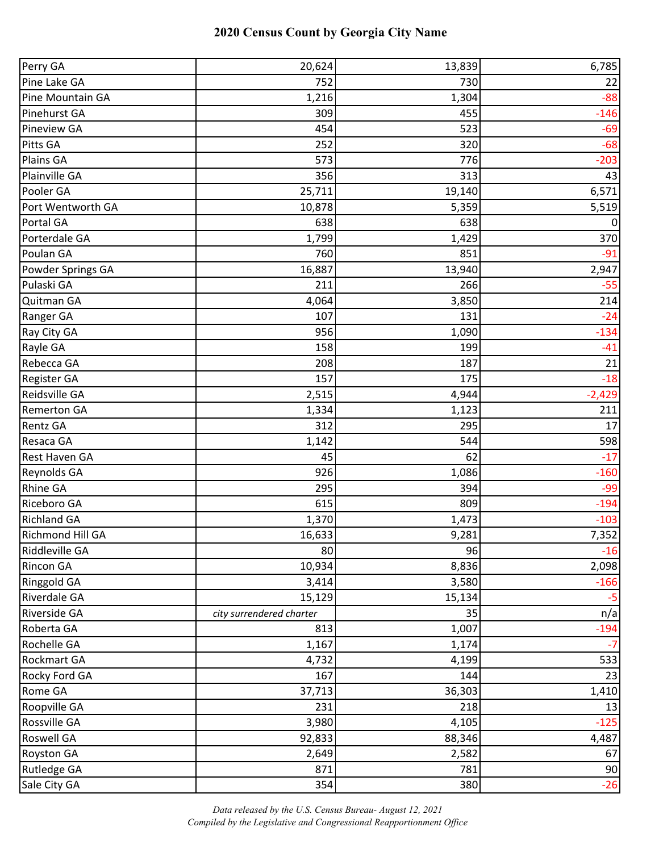| Perry GA           | 20,624                   | 13,839 | 6,785    |
|--------------------|--------------------------|--------|----------|
| Pine Lake GA       | 752                      | 730    | 22       |
| Pine Mountain GA   | 1,216                    | 1,304  | $-88$    |
| Pinehurst GA       | 309                      | 455    | $-146$   |
| <b>Pineview GA</b> | 454                      | 523    | $-69$    |
| Pitts GA           | 252                      | 320    | $-68$    |
| Plains GA          | 573                      | 776    | $-203$   |
| Plainville GA      | 356                      | 313    | 43       |
| Pooler GA          | 25,711                   | 19,140 | 6,571    |
| Port Wentworth GA  | 10,878                   | 5,359  | 5,519    |
| Portal GA          | 638                      | 638    | 0        |
| Porterdale GA      | 1,799                    | 1,429  | 370      |
| Poulan GA          | 760                      | 851    | $-91$    |
| Powder Springs GA  | 16,887                   | 13,940 | 2,947    |
| Pulaski GA         | 211                      | 266    | $-55$    |
| Quitman GA         | 4,064                    | 3,850  | 214      |
| Ranger GA          | 107                      | 131    | $-24$    |
| Ray City GA        | 956                      | 1,090  | $-134$   |
| Rayle GA           | 158                      | 199    | $-41$    |
| Rebecca GA         | 208                      | 187    | 21       |
| Register GA        | 157                      | 175    | $-18$    |
| Reidsville GA      | 2,515                    | 4,944  | $-2,429$ |
| <b>Remerton GA</b> | 1,334                    | 1,123  | 211      |
| <b>Rentz GA</b>    | 312                      | 295    | 17       |
| Resaca GA          | 1,142                    | 544    | 598      |
| Rest Haven GA      | 45                       | 62     | $-17$    |
| Reynolds GA        | 926                      | 1,086  | $-160$   |
| <b>Rhine GA</b>    | 295                      | 394    | $-99$    |
| Riceboro GA        | 615                      | 809    | $-194$   |
| <b>Richland GA</b> | 1,370                    | 1,473  | $-103$   |
| Richmond Hill GA   | 16,633                   | 9,281  | 7,352    |
| Riddleville GA     | 80                       | 96     | $-16$    |
| Rincon GA          | 10,934                   | 8,836  | 2,098    |
| Ringgold GA        | 3,414                    | 3,580  | $-166$   |
| Riverdale GA       | 15,129                   | 15,134 | $-5$     |
| Riverside GA       | city surrendered charter | 35     | n/a      |
| Roberta GA         | 813                      | 1,007  | $-194$   |
| Rochelle GA        | 1,167                    | 1,174  | $-7$     |
| Rockmart GA        | 4,732                    | 4,199  | 533      |
| Rocky Ford GA      | 167                      | 144    | 23       |
| Rome GA            | 37,713                   | 36,303 | 1,410    |
| Roopville GA       | 231                      | 218    | 13       |
| Rossville GA       | 3,980                    | 4,105  | $-125$   |
| Roswell GA         | 92,833                   | 88,346 | 4,487    |
| <b>Royston GA</b>  | 2,649                    | 2,582  | 67       |
| Rutledge GA        | 871                      | 781    | 90       |
| Sale City GA       | 354                      | 380    | $-26$    |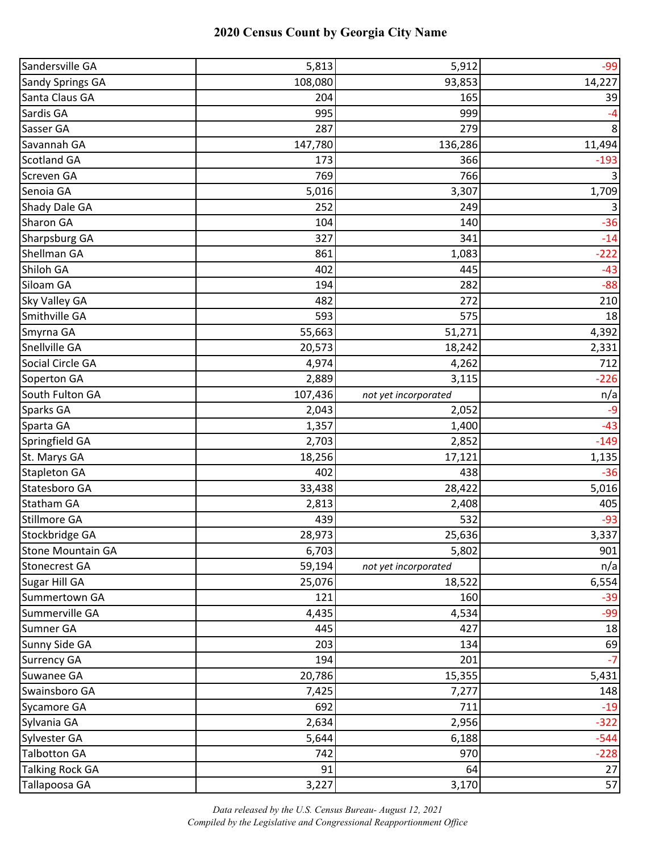| Sandersville GA          | 5,813   | 5,912                | $-99$  |
|--------------------------|---------|----------------------|--------|
| <b>Sandy Springs GA</b>  | 108,080 | 93,853               | 14,227 |
| Santa Claus GA           | 204     | 165                  | 39     |
| Sardis GA                | 995     | 999                  | $-4$   |
| Sasser GA                | 287     | 279                  | 8      |
| Savannah GA              | 147,780 | 136,286              | 11,494 |
| <b>Scotland GA</b>       | 173     | 366                  | $-193$ |
| Screven GA               | 769     | 766                  | 3      |
| Senoia GA                | 5,016   | 3,307                | 1,709  |
| Shady Dale GA            | 252     | 249                  | 3      |
| Sharon GA                | 104     | 140                  | $-36$  |
| Sharpsburg GA            | 327     | 341                  | $-14$  |
| Shellman GA              | 861     | 1,083                | $-222$ |
| Shiloh GA                | 402     | 445                  | $-43$  |
| Siloam GA                | 194     | 282                  | $-88$  |
| Sky Valley GA            | 482     | 272                  | 210    |
| Smithville GA            | 593     | 575                  | 18     |
| Smyrna GA                | 55,663  | 51,271               | 4,392  |
| Snellville GA            | 20,573  | 18,242               | 2,331  |
| Social Circle GA         | 4,974   | 4,262                | 712    |
| Soperton GA              | 2,889   | 3,115                | $-226$ |
| South Fulton GA          | 107,436 | not yet incorporated | n/a    |
| Sparks GA                | 2,043   | 2,052                | $-9$   |
| Sparta GA                | 1,357   | 1,400                | $-43$  |
| Springfield GA           | 2,703   | 2,852                | $-149$ |
| St. Marys GA             | 18,256  | 17,121               | 1,135  |
| <b>Stapleton GA</b>      | 402     | 438                  | $-36$  |
| Statesboro GA            | 33,438  | 28,422               | 5,016  |
| <b>Statham GA</b>        | 2,813   | 2,408                | 405    |
| Stillmore GA             | 439     | 532                  | $-93$  |
| Stockbridge GA           | 28,973  | 25,636               | 3,337  |
| <b>Stone Mountain GA</b> | 6,703   | 5,802                | 901    |
| <b>Stonecrest GA</b>     | 59,194  | not yet incorporated | n/a    |
| Sugar Hill GA            | 25,076  | 18,522               | 6,554  |
| Summertown GA            | 121     | 160                  | $-39$  |
| Summerville GA           | 4,435   | 4,534                | $-99$  |
| Sumner GA                | 445     | 427                  | 18     |
| Sunny Side GA            | 203     | 134                  | 69     |
| <b>Surrency GA</b>       | 194     | 201                  | $-7$   |
| Suwanee GA               | 20,786  | 15,355               | 5,431  |
| Swainsboro GA            | 7,425   | 7,277                | 148    |
| Sycamore GA              | 692     | 711                  | $-19$  |
| Sylvania GA              | 2,634   | 2,956                | $-322$ |
| Sylvester GA             | 5,644   | 6,188                | $-544$ |
| <b>Talbotton GA</b>      | 742     | 970                  | $-228$ |
| <b>Talking Rock GA</b>   | 91      | 64                   | 27     |
| Tallapoosa GA            | 3,227   | 3,170                | 57     |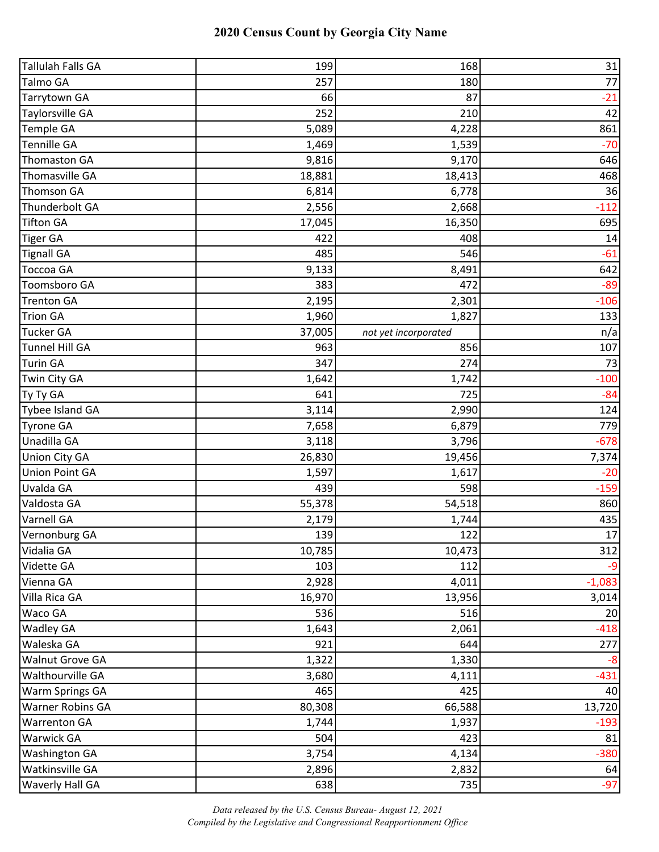| <b>Tallulah Falls GA</b> | 199    | 168                  | 31       |
|--------------------------|--------|----------------------|----------|
| Talmo GA                 | 257    | 180                  | 77       |
| Tarrytown GA             | 66     | 87                   | $-21$    |
| <b>Taylorsville GA</b>   | 252    | 210                  | 42       |
| Temple GA                | 5,089  | 4,228                | 861      |
| <b>Tennille GA</b>       | 1,469  | 1,539                | $-70$    |
| <b>Thomaston GA</b>      | 9,816  | 9,170                | 646      |
| Thomasville GA           | 18,881 | 18,413               | 468      |
| <b>Thomson GA</b>        | 6,814  | 6,778                | 36       |
| Thunderbolt GA           | 2,556  | 2,668                | $-112$   |
| <b>Tifton GA</b>         | 17,045 | 16,350               | 695      |
| <b>Tiger GA</b>          | 422    | 408                  | 14       |
| <b>Tignall GA</b>        | 485    | 546                  | $-61$    |
| <b>Toccoa GA</b>         | 9,133  | 8,491                | 642      |
| Toomsboro GA             | 383    | 472                  | $-89$    |
| <b>Trenton GA</b>        | 2,195  | 2,301                | $-106$   |
| <b>Trion GA</b>          | 1,960  | 1,827                | 133      |
| <b>Tucker GA</b>         | 37,005 | not yet incorporated | n/a      |
| <b>Tunnel Hill GA</b>    | 963    | 856                  | 107      |
| <b>Turin GA</b>          | 347    | 274                  | 73       |
| Twin City GA             | 1,642  | 1,742                | $-100$   |
| Ty Ty GA                 | 641    | 725                  | $-84$    |
| Tybee Island GA          | 3,114  | 2,990                | 124      |
| <b>Tyrone GA</b>         | 7,658  | 6,879                | 779      |
| Unadilla GA              | 3,118  | 3,796                | $-678$   |
| <b>Union City GA</b>     | 26,830 | 19,456               | 7,374    |
| <b>Union Point GA</b>    | 1,597  | 1,617                | $-20$    |
| Uvalda GA                | 439    | 598                  | $-159$   |
| Valdosta GA              | 55,378 | 54,518               | 860      |
| Varnell GA               | 2,179  | 1,744                | 435      |
| Vernonburg GA            | 139    | 122                  | 17       |
| Vidalia GA               | 10,785 | 10,473               | 312      |
| Vidette GA               | 103    | 112                  | $-9$     |
| Vienna GA                | 2,928  | 4,011                | $-1,083$ |
| Villa Rica GA            | 16,970 | 13,956               | 3,014    |
| Waco GA                  | 536    | 516                  | 20       |
| <b>Wadley GA</b>         | 1,643  | 2,061                | $-418$   |
| Waleska GA               | 921    | 644                  | 277      |
| Walnut Grove GA          | 1,322  | 1,330                | -8       |
| Walthourville GA         | 3,680  | 4,111                | $-431$   |
| Warm Springs GA          | 465    | 425                  | 40       |
| Warner Robins GA         | 80,308 | 66,588               | 13,720   |
| <b>Warrenton GA</b>      | 1,744  | 1,937                | $-193$   |
| <b>Warwick GA</b>        | 504    | 423                  | 81       |
| <b>Washington GA</b>     | 3,754  | 4,134                | $-380$   |
| Watkinsville GA          | 2,896  | 2,832                | 64       |
| Waverly Hall GA          | 638    | 735                  | $-97$    |